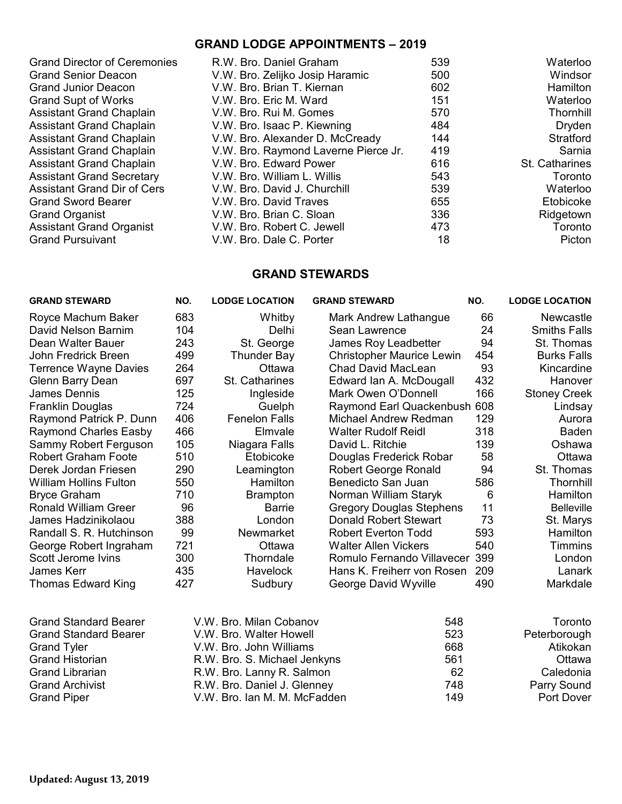### **GRAND LODGE APPOINTMENTS – 2019**

| <b>Grand Director of Ceremonies</b> | R.W. Bro. Daniel Graham              | 539 | Waterloo       |
|-------------------------------------|--------------------------------------|-----|----------------|
| Grand Senior Deacon                 | V.W. Bro. Zelijko Josip Haramic      | 500 | Windsor        |
| <b>Grand Junior Deacon</b>          | V.W. Bro. Brian T. Kiernan           | 602 | Hamilton       |
| <b>Grand Supt of Works</b>          | V.W. Bro. Eric M. Ward               | 151 | Waterloo       |
| <b>Assistant Grand Chaplain</b>     | V.W. Bro. Rui M. Gomes               | 570 | Thornhill      |
| Assistant Grand Chaplain            | V.W. Bro. Isaac P. Kiewning          | 484 | Dryden         |
| Assistant Grand Chaplain            | V.W. Bro. Alexander D. McCready      | 144 | Stratford      |
| Assistant Grand Chaplain            | V.W. Bro. Raymond Laverne Pierce Jr. | 419 | Sarnia         |
| Assistant Grand Chaplain            | V.W. Bro. Edward Power               | 616 | St. Catharines |
| <b>Assistant Grand Secretary</b>    | V.W. Bro. William L. Willis          | 543 | Toronto        |
| Assistant Grand Dir of Cers         | V.W. Bro. David J. Churchill         | 539 | Waterloo       |
| <b>Grand Sword Bearer</b>           | V.W. Bro. David Traves               | 655 | Etobicoke      |
| Grand Organist                      | V.W. Bro. Brian C. Sloan             | 336 | Ridgetown      |
| Assistant Grand Organist            | V.W. Bro. Robert C. Jewell           | 473 | Toronto        |
| <b>Grand Pursuivant</b>             | V.W. Bro. Dale C. Porter             | 18  | Picton         |

# **GRAND STEWARDS**

| <b>GRAND STEWARD</b>          | NO. | <b>LODGE LOCATION</b>        | <b>GRAND STEWARD</b>             | NO. | <b>LODGE LOCATION</b> |
|-------------------------------|-----|------------------------------|----------------------------------|-----|-----------------------|
| Royce Machum Baker            | 683 | Whitby                       | Mark Andrew Lathangue            | 66  | Newcastle             |
| David Nelson Barnim           | 104 | Delhi                        | Sean Lawrence                    | 24  | <b>Smiths Falls</b>   |
| Dean Walter Bauer             | 243 | St. George                   | James Roy Leadbetter             | 94  | St. Thomas            |
| John Fredrick Breen           | 499 | <b>Thunder Bay</b>           | <b>Christopher Maurice Lewin</b> | 454 | <b>Burks Falls</b>    |
| <b>Terrence Wayne Davies</b>  | 264 | Ottawa                       | <b>Chad David MacLean</b>        | 93  | Kincardine            |
| Glenn Barry Dean              | 697 | St. Catharines               | Edward Ian A. McDougall          | 432 | Hanover               |
| James Dennis                  | 125 | Ingleside                    | Mark Owen O'Donnell              | 166 | <b>Stoney Creek</b>   |
| Franklin Douglas              | 724 | Guelph                       | Raymond Earl Quackenbush 608     |     | Lindsay               |
| Raymond Patrick P. Dunn       | 406 | <b>Fenelon Falls</b>         | Michael Andrew Redman            | 129 | Aurora                |
| <b>Raymond Charles Easby</b>  | 466 | Elmvale                      | <b>Walter Rudolf Reidl</b>       | 318 | Baden                 |
| Sammy Robert Ferguson         | 105 | Niagara Falls                | David L. Ritchie                 | 139 | Oshawa                |
| <b>Robert Graham Foote</b>    | 510 | Etobicoke                    | Douglas Frederick Robar          | 58  | Ottawa                |
| Derek Jordan Friesen          | 290 | Leamington                   | Robert George Ronald             | 94  | St. Thomas            |
| <b>William Hollins Fulton</b> | 550 | Hamilton                     | Benedicto San Juan               | 586 | Thornhill             |
| <b>Bryce Graham</b>           | 710 | <b>Brampton</b>              | Norman William Staryk            | 6   | Hamilton              |
| Ronald William Greer          | 96  | <b>Barrie</b>                | <b>Gregory Douglas Stephens</b>  | 11  | <b>Belleville</b>     |
| James Hadzinikolaou           | 388 | London                       | Donald Robert Stewart            | 73  | St. Marys             |
| Randall S. R. Hutchinson      | 99  | Newmarket                    | <b>Robert Everton Todd</b>       | 593 | Hamilton              |
| George Robert Ingraham        | 721 | Ottawa                       | <b>Walter Allen Vickers</b>      | 540 | <b>Timmins</b>        |
| Scott Jerome Ivins            | 300 | Thorndale                    | Romulo Fernando Villavecer       | 399 | London                |
| <b>James Kerr</b>             | 435 | Havelock                     | Hans K. Freiherr von Rosen       | 209 | Lanark                |
| <b>Thomas Edward King</b>     | 427 | Sudbury                      | George David Wyville             | 490 | Markdale              |
| <b>Grand Standard Bearer</b>  |     | V.W. Bro. Milan Cobanov      | 548                              |     | Toronto               |
| <b>Grand Standard Bearer</b>  |     | V.W. Bro. Walter Howell      | 523                              |     | Peterborough          |
| <b>Grand Tyler</b>            |     | V.W. Bro. John Williams      | 668                              |     | Atikokan              |
| <b>Grand Historian</b>        |     | R.W. Bro. S. Michael Jenkyns | 561                              |     | Ottawa                |
| <b>Grand Librarian</b>        |     | R.W. Bro. Lanny R. Salmon    | 62                               |     | Caledonia             |
| <b>Grand Archivist</b>        |     | R.W. Bro. Daniel J. Glenney  | 748                              |     | Parry Sound           |
| <b>Grand Piper</b>            |     | V.W. Bro. Ian M. M. McFadden | 149                              |     | Port Dover            |